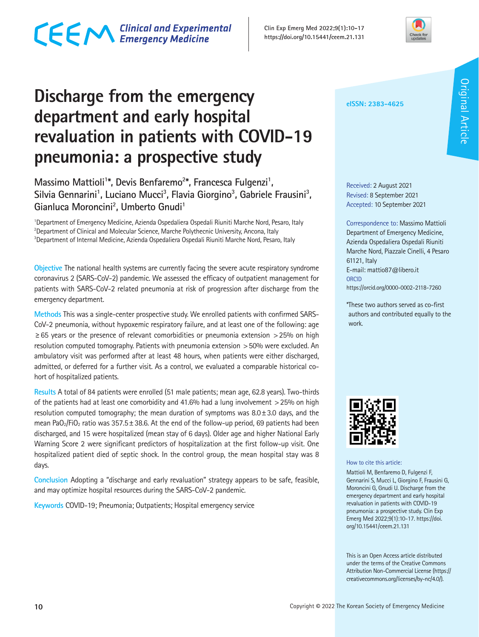

### **Discharge from the emergency department and early hospital revaluation in patients with COVID-19 pneumonia: a prospective study**

### Massimo Mattioli<sup>1\*</sup>, Devis Benfaremo<sup>2\*</sup>, Francesca Fulgenzi<sup>1</sup>, Silvia Gennarini<sup>1</sup>, Luciano Mucci<sup>3</sup>, Flavia Giorgino<sup>3</sup>, Gabriele Frausini<sup>3</sup>, Gianluca Moroncini<sup>2</sup>, Umberto Gnudi<sup>1</sup>

<sup>1</sup>Department of Emergency Medicine, Azienda Ospedaliera Ospedali Riuniti Marche Nord, Pesaro, Italy <sup>2</sup>Department of Clinical and Molecular Science, Marche Polythecnic University, Ancona, Italy 3 Department of Internal Medicine, Azienda Ospedaliera Ospedali Riuniti Marche Nord, Pesaro, Italy

**Objective** The national health systems are currently facing the severe acute respiratory syndrome coronavirus 2 (SARS-CoV-2) pandemic. We assessed the efficacy of outpatient management for patients with SARS-CoV-2 related pneumonia at risk of progression after discharge from the emergency department.

**Methods** This was a single-center prospective study. We enrolled patients with confirmed SARS-CoV-2 pneumonia, without hypoxemic respiratory failure, and at least one of the following: age ≥65 years or the presence of relevant comorbidities or pneumonia extension >25% on high resolution computed tomography. Patients with pneumonia extension >50% were excluded. An ambulatory visit was performed after at least 48 hours, when patients were either discharged, admitted, or deferred for a further visit. As a control, we evaluated a comparable historical cohort of hospitalized patients.

**Results** A total of 84 patients were enrolled (51 male patients; mean age, 62.8 years). Two-thirds of the patients had at least one comorbidity and 41.6% had a lung involvement  $>$  25% on high resolution computed tomography; the mean duration of symptoms was  $8.0 \pm 3.0$  days, and the mean PaO<sub>2</sub>/FiO<sub>2</sub> ratio was  $357.5 \pm 38.6$ . At the end of the follow-up period, 69 patients had been discharged, and 15 were hospitalized (mean stay of 6 days). Older age and higher National Early Warning Score 2 were significant predictors of hospitalization at the first follow-up visit. One hospitalized patient died of septic shock. In the control group, the mean hospital stay was 8 days.

**Conclusion** Adopting a "discharge and early revaluation" strategy appears to be safe, feasible, and may optimize hospital resources during the SARS-CoV-2 pandemic.

**Keywords** COVID-19; Pneumonia; Outpatients; Hospital emergency service

#### **eISSN: 2383-4625**

Received: 2 August 2021 Revised: 8 September 2021 Accepted: 10 September 2021

Correspondence to: Massimo Mattioli Department of Emergency Medicine, Azienda Ospedaliera Ospedali Riuniti Marche Nord, Piazzale Cinelli, 4 Pesaro 61121, Italy E-mail: mattio87@libero.it **ORCID** https://orcid.org/0000-0002-2118-7260

\*These two authors served as co-first authors and contributed equally to the work.



How to cite this article:

Mattioli M, Benfaremo D, Fulgenzi F, Gennarini S, Mucci L, Giorgino F, Frausini G, Moroncini G, Gnudi U. Discharge from the emergency department and early hospital revaluation in patients with COVID-19 pneumonia: a prospective study. Clin Exp Emerg Med 2022;9(1):10-17. https://doi. org/10.15441/ceem.21.131

This is an Open Access article distributed under the terms of the Creative Commons Attribution Non-Commercial License (https:// creativecommons.org/licenses/by-nc/4.0/).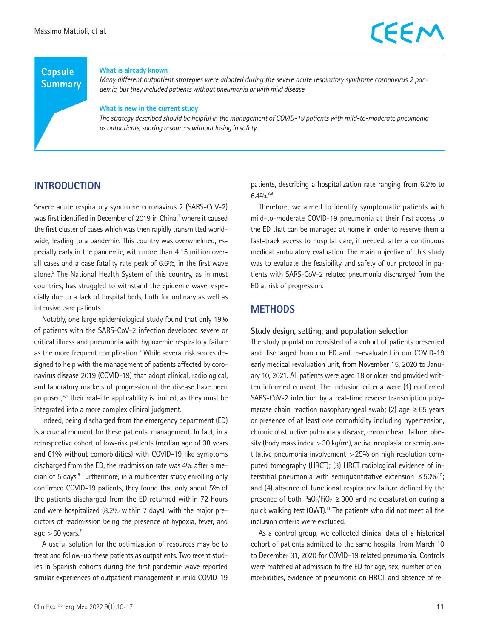#### **Capsule Summary**

#### **What is already known**

*Many different outpatient strategies were adopted during the severe acute respiratory syndrome coronavirus 2 pandemic, but they included patients without pneumonia or with mild disease.*

#### **What is new in the current study**

*The strategy described should be helpful in the management of COVID-19 patients with mild-to-moderate pneumonia as outpatients, sparing resources without losing in safety.*

#### **INTRODUCTION**

Severe acute respiratory syndrome coronavirus 2 (SARS-CoV-2) was first identified in December of 2019 in China,<sup>1</sup> where it caused the first cluster of cases which was then rapidly transmitted worldwide, leading to a pandemic. This country was overwhelmed, especially early in the pandemic, with more than 4.15 million overall cases and a case fatality rate peak of 6.6%, in the first wave alone.<sup>2</sup> The National Health System of this country, as in most countries, has struggled to withstand the epidemic wave, especially due to a lack of hospital beds, both for ordinary as well as intensive care patients.

Notably, one large epidemiological study found that only 19% of patients with the SARS-CoV-2 infection developed severe or critical illness and pneumonia with hypoxemic respiratory failure as the more frequent complication.<sup>3</sup> While several risk scores designed to help with the management of patients affected by coronavirus disease 2019 (COVID-19) that adopt clinical, radiological, and laboratory markers of progression of the disease have been proposed, $4.5$  their real-life applicability is limited, as they must be integrated into a more complex clinical judgment.

Indeed, being discharged from the emergency department (ED) is a crucial moment for these patients' management. In fact, in a retrospective cohort of low-risk patients (median age of 38 years and 61% without comorbidities) with COVID-19 like symptoms discharged from the ED, the readmission rate was 4% after a median of 5 days.<sup>6</sup> Furthermore, in a multicenter study enrolling only confirmed COVID-19 patients, they found that only about 5% of the patients discharged from the ED returned within 72 hours and were hospitalized (8.2% within 7 days), with the major predictors of readmission being the presence of hypoxia, fever, and age  $>60$  years.<sup>7</sup>

A useful solution for the optimization of resources may be to treat and follow-up these patients as outpatients. Two recent studies in Spanish cohorts during the first pandemic wave reported similar experiences of outpatient management in mild COVID-19

patients, describing a hospitalization rate ranging from 6.2% to  $6.4\%^{8,9}$ 

Therefore, we aimed to identify symptomatic patients with mild-to-moderate COVID-19 pneumonia at their first access to the ED that can be managed at home in order to reserve them a fast-track access to hospital care, if needed, after a continuous medical ambulatory evaluation. The main objective of this study was to evaluate the feasibility and safety of our protocol in patients with SARS-CoV-2 related pneumonia discharged from the ED at risk of progression.

#### **METHODS**

#### **Study design, setting, and population selection**

The study population consisted of a cohort of patients presented and discharged from our ED and re-evaluated in our COVID-19 early medical revaluation unit, from November 15, 2020 to January 10, 2021. All patients were aged 18 or older and provided written informed consent. The inclusion criteria were (1) confirmed SARS-CoV-2 infection by a real-time reverse transcription polymerase chain reaction nasopharyngeal swab; (2) age  $\geq 65$  years or presence of at least one comorbidity including hypertension, chronic obstructive pulmonary disease, chronic heart failure, obesity (body mass index  $>$  30 kg/m<sup>2</sup>), active neoplasia, or semiquantitative pneumonia involvement >25% on high resolution computed tomography (HRCT); (3) HRCT radiological evidence of interstitial pneumonia with semiquantitative extension  $\leq 50\%^{10}$ ; and (4) absence of functional respiratory failure defined by the presence of both PaO<sub>2</sub>/FiO<sub>2</sub>  $\geq$  300 and no desaturation during a quick walking test (QWT).<sup>11</sup> The patients who did not meet all the inclusion criteria were excluded.

As a control group, we collected clinical data of a historical cohort of patients admitted to the same hospital from March 10 to December 31, 2020 for COVID-19 related pneumonia. Controls were matched at admission to the ED for age, sex, number of comorbidities, evidence of pneumonia on HRCT, and absence of re-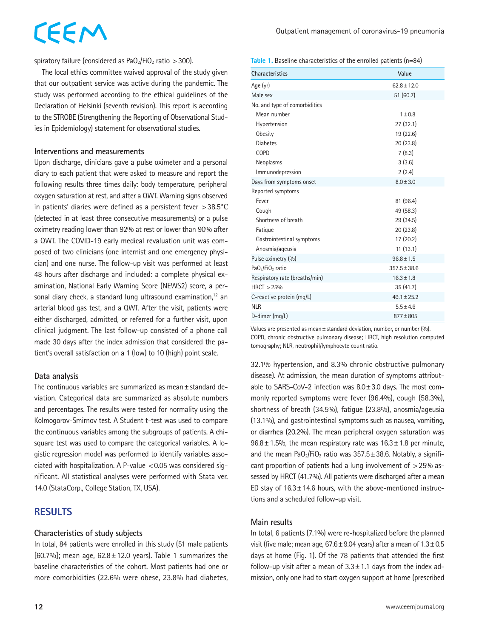# CEEM

spiratory failure (considered as  $PaO<sub>2</sub>/FiO<sub>2</sub>$  ratio  $>300$ ).

The local ethics committee waived approval of the study given that our outpatient service was active during the pandemic. The study was performed according to the ethical guidelines of the Declaration of Helsinki (seventh revision). This report is according to the STROBE (Strengthening the Reporting of Observational Studies in Epidemiology) statement for observational studies.

#### **Interventions and measurements**

Upon discharge, clinicians gave a pulse oximeter and a personal diary to each patient that were asked to measure and report the following results three times daily: body temperature, peripheral oxygen saturation at rest, and after a QWT. Warning signs observed in patients' diaries were defined as a persistent fever >38.5°C (detected in at least three consecutive measurements) or a pulse oximetry reading lower than 92% at rest or lower than 90% after a QWT. The COVID-19 early medical revaluation unit was composed of two clinicians (one internist and one emergency physician) and one nurse. The follow-up visit was performed at least 48 hours after discharge and included: a complete physical examination, National Early Warning Score (NEWS2) score, a personal diary check, a standard lung ultrasound examination, $12$  an arterial blood gas test, and a QWT. After the visit, patients were either discharged, admitted, or referred for a further visit, upon clinical judgment. The last follow-up consisted of a phone call made 30 days after the index admission that considered the patient's overall satisfaction on a 1 (low) to 10 (high) point scale.

#### **Data analysis**

The continuous variables are summarized as mean±standard deviation. Categorical data are summarized as absolute numbers and percentages. The results were tested for normality using the Kolmogorov-Smirnov test. A Student t-test was used to compare the continuous variables among the subgroups of patients. A chisquare test was used to compare the categorical variables. A logistic regression model was performed to identify variables associated with hospitalization. A P-value  $< 0.05$  was considered significant. All statistical analyses were performed with Stata ver. 14.0 (StataCorp., College Station, TX, USA).

#### **RESULTS**

#### **Characteristics of study subjects**

In total, 84 patients were enrolled in this study (51 male patients  $[60.7\%]$ ; mean age,  $62.8 \pm 12.0$  years). Table 1 summarizes the baseline characteristics of the cohort. Most patients had one or more comorbidities (22.6% were obese, 23.8% had diabetes,

#### **Table 1.** Baseline characteristics of the enrolled patients (n=84)

| <b>Characteristics</b>                   | Value            |
|------------------------------------------|------------------|
| Age (yr)                                 | $62.8 \pm 12.0$  |
| Male sex                                 | 51(60.7)         |
| No. and type of comorbidities            |                  |
| Mean number                              | $1 \pm 0.8$      |
| Hypertension                             | 27 (32.1)        |
| <b>Obesity</b>                           | 19 (22.6)        |
| <b>Diabetes</b>                          | 20 (23.8)        |
| <b>COPD</b>                              | 7(8.3)           |
| Neoplasms                                | 3(3.6)           |
| Immunodepression                         | 2(2.4)           |
| Days from symptoms onset                 | $8.0 + 3.0$      |
| Reported symptoms                        |                  |
| Fever                                    | 81 (96.4)        |
| Cough                                    | 49 (58.3)        |
| Shortness of breath                      | 29 (34.5)        |
| Fatique                                  | 20 (23.8)        |
| Gastrointestinal symptoms                | 17 (20.2)        |
| Anosmia/ageusia                          | 11(13.1)         |
| Pulse oximetry (%)                       | $96.8 \pm 1.5$   |
| PaO <sub>2</sub> /FiO <sub>2</sub> ratio | $357.5 \pm 38.6$ |
| Respiratory rate (breaths/min)           | $16.3 \pm 1.8$   |
| HRCT > 25%                               | 35 (41.7)        |
| C-reactive protein (mg/L)                | $49.1 \pm 25.2$  |
| <b>NLR</b>                               | $5.5 + 4.6$      |
| D-dimer (mg/L)                           | $877 \pm 805$    |

Values are presented as mean±standard deviation, number, or number (%). COPD, chronic obstructive pulmonary disease; HRCT, high resolution computed tomography; NLR, neutrophil/lymphocyte count ratio.

32.1% hypertension, and 8.3% chronic obstructive pulmonary disease). At admission, the mean duration of symptoms attributable to SARS-CoV-2 infection was  $8.0 \pm 3.0$  days. The most commonly reported symptoms were fever (96.4%), cough (58.3%), shortness of breath (34.5%), fatigue (23.8%), anosmia/ageusia (13.1%), and gastrointestinal symptoms such as nausea, vomiting, or diarrhea (20.2%). The mean peripheral oxygen saturation was  $96.8 \pm 1.5$ %, the mean respiratory rate was  $16.3 \pm 1.8$  per minute, and the mean PaO<sub>2</sub>/FiO<sub>2</sub> ratio was  $357.5 \pm 38.6$ . Notably, a significant proportion of patients had a lung involvement of >25% assessed by HRCT (41.7%). All patients were discharged after a mean ED stay of  $16.3 \pm 14.6$  hours, with the above-mentioned instructions and a scheduled follow-up visit.

#### **Main results**

In total, 6 patients (7.1%) were re-hospitalized before the planned visit (five male; mean age,  $67.6 \pm 9.04$  years) after a mean of  $1.3 \pm 0.5$ days at home (Fig. 1). Of the 78 patients that attended the first follow-up visit after a mean of  $3.3 \pm 1.1$  days from the index admission, only one had to start oxygen support at home (prescribed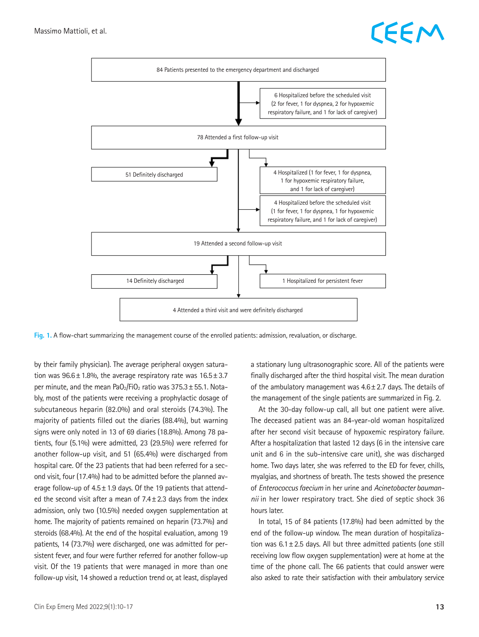



**Fig. 1.** A flow-chart summarizing the management course of the enrolled patients: admission, revaluation, or discharge.

by their family physician). The average peripheral oxygen saturation was  $96.6 \pm 1.8$ %, the average respiratory rate was  $16.5 \pm 3.7$ per minute, and the mean PaO<sub>2</sub>/FiO<sub>2</sub> ratio was  $375.3 \pm 55.1$ . Notably, most of the patients were receiving a prophylactic dosage of subcutaneous heparin (82.0%) and oral steroids (74.3%). The majority of patients filled out the diaries (88.4%), but warning signs were only noted in 13 of 69 diaries (18.8%). Among 78 patients, four (5.1%) were admitted, 23 (29.5%) were referred for another follow-up visit, and 51 (65.4%) were discharged from hospital care. Of the 23 patients that had been referred for a second visit, four (17.4%) had to be admitted before the planned average follow-up of 4.5±1.9 days. Of the 19 patients that attended the second visit after a mean of  $7.4 \pm 2.3$  days from the index admission, only two (10.5%) needed oxygen supplementation at home. The majority of patients remained on heparin (73.7%) and steroids (68.4%). At the end of the hospital evaluation, among 19 patients, 14 (73.7%) were discharged, one was admitted for persistent fever, and four were further referred for another follow-up visit. Of the 19 patients that were managed in more than one follow-up visit, 14 showed a reduction trend or, at least, displayed

a stationary lung ultrasonographic score. All of the patients were finally discharged after the third hospital visit. The mean duration of the ambulatory management was  $4.6 \pm 2.7$  days. The details of the management of the single patients are summarized in Fig. 2.

At the 30-day follow-up call, all but one patient were alive. The deceased patient was an 84-year-old woman hospitalized after her second visit because of hypoxemic respiratory failure. After a hospitalization that lasted 12 days (6 in the intensive care unit and 6 in the sub-intensive care unit), she was discharged home. Two days later, she was referred to the ED for fever, chills, myalgias, and shortness of breath. The tests showed the presence of *Enterococcus faecium* in her urine and *Acinetobacter baumannii* in her lower respiratory tract. She died of septic shock 36 hours later.

In total, 15 of 84 patients (17.8%) had been admitted by the end of the follow-up window. The mean duration of hospitalization was  $6.1 \pm 2.5$  days. All but three admitted patients (one still receiving low flow oxygen supplementation) were at home at the time of the phone call. The 66 patients that could answer were also asked to rate their satisfaction with their ambulatory service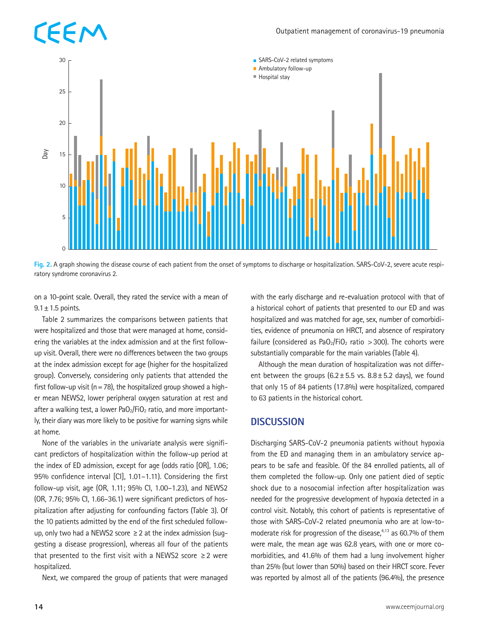

**Fig. 2.** A graph showing the disease course of each patient from the onset of symptoms to discharge or hospitalization. SARS-CoV-2, severe acute respiratory syndrome coronavirus 2.

on a 10-point scale. Overall, they rated the service with a mean of  $9.1 \pm 1.5$  points.

Table 2 summarizes the comparisons between patients that were hospitalized and those that were managed at home, considering the variables at the index admission and at the first followup visit. Overall, there were no differences between the two groups at the index admission except for age (higher for the hospitalized group). Conversely, considering only patients that attended the first follow-up visit ( $n=78$ ), the hospitalized group showed a higher mean NEWS2, lower peripheral oxygen saturation at rest and after a walking test, a lower  $PaO<sub>2</sub>/FiO<sub>2</sub>$  ratio, and more importantly, their diary was more likely to be positive for warning signs while at home.

None of the variables in the univariate analysis were significant predictors of hospitalization within the follow-up period at the index of ED admission, except for age (odds ratio [OR], 1.06; 95% confidence interval [CI], 1.01–1.11). Considering the first follow-up visit, age (OR, 1.11; 95% CI, 1.00–1.23), and NEWS2 (OR, 7.76; 95% CI, 1.66–36.1) were significant predictors of hospitalization after adjusting for confounding factors (Table 3). Of the 10 patients admitted by the end of the first scheduled followup, only two had a NEWS2 score  $\geq$  2 at the index admission (suggesting a disease progression), whereas all four of the patients that presented to the first visit with a NEWS2 score  $\geq 2$  were hospitalized.

Next, we compared the group of patients that were managed

with the early discharge and re-evaluation protocol with that of a historical cohort of patients that presented to our ED and was hospitalized and was matched for age, sex, number of comorbidities, evidence of pneumonia on HRCT, and absence of respiratory failure (considered as PaO<sub>2</sub>/FiO<sub>2</sub> ratio > 300). The cohorts were substantially comparable for the main variables (Table 4).

Although the mean duration of hospitalization was not different between the groups  $(6.2 \pm 5.5 \text{ vs. } 8.8 \pm 5.2 \text{ days})$ , we found that only 15 of 84 patients (17.8%) were hospitalized, compared to 63 patients in the historical cohort.

#### **DISCUSSION**

Discharging SARS-CoV-2 pneumonia patients without hypoxia from the ED and managing them in an ambulatory service appears to be safe and feasible. Of the 84 enrolled patients, all of them completed the follow-up. Only one patient died of septic shock due to a nosocomial infection after hospitalization was needed for the progressive development of hypoxia detected in a control visit. Notably, this cohort of patients is representative of those with SARS-CoV-2 related pneumonia who are at low-tomoderate risk for progression of the disease, $4,13$  as 60.7% of them were male, the mean age was 62.8 years, with one or more comorbidities, and 41.6% of them had a lung involvement higher than 25% (but lower than 50%) based on their HRCT score. Fever was reported by almost all of the patients (96.4%), the presence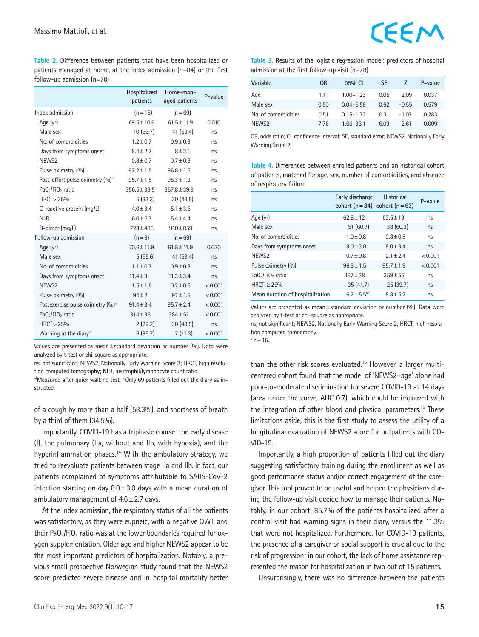**Table 2.** Difference between patients that have been hospitalized or patients managed at home, at the index admission (n=84) or the first follow-up admission (n=78)

|                                               | Hospitalized<br>patients | Home-man-<br>aged patients | P-value |
|-----------------------------------------------|--------------------------|----------------------------|---------|
| Index admission                               | $(n = 15)$               | $(n = 69)$                 |         |
| Age (yr)                                      | $69.5 \pm 10.6$          | $61.5 \pm 11.9$            | 0.010   |
| Male sex                                      | 10(66.7)                 | 41 (59.4)                  | ns      |
| No. of comorbidities                          | $1.2 \pm 0.7$            | $0.9 \pm 0.8$              | ns      |
| Days from symptoms onset                      | $8.4 \pm 2.7$            | $8 + 2.1$                  | ns      |
| NEWS <sub>2</sub>                             | $0.8 \pm 0.7$            | $0.7 \pm 0.8$              | ns      |
| Pulse oximetry (%)                            | $97.2 \pm 1.5$           | $96.8 \pm 1.5$             | ns      |
| Post-effort pulse oximetry (%) <sup>a)</sup>  | $95.7 \pm 1.5$           | $95.3 \pm 1.9$             | ns      |
| PaO <sub>2</sub> /FiO <sub>2</sub> ratio      | $356.5 \pm 33.5$         | $357.8 \pm 39.9$           | ns      |
| HRCT > 25%                                    | 5(33.3)                  | 30(43.5)                   | ns      |
| C-reactive protein (mg/L)                     | $4.0 \pm 3.4$            | $5.1 \pm 3.6$              | ns      |
| <b>NLR</b>                                    | $6.0 \pm 5.7$            | $5.4 \pm 4.4$              | ns      |
| D-dimer (mg/L)                                | $728 \pm 485$            | $910 \pm 859$              | ns      |
| Follow-up admission                           | $(n = 9)$                | $(n = 69)$                 |         |
| Age (yr)                                      | $70.6 \pm 11.9$          | $61.5 \pm 11.9$            | 0.030   |
| Male sex                                      | 5(55.6)                  | 41 (59.4)                  | ns      |
| No. of comorbidities                          | $1.1 \pm 0.7$            | $0.9 + 0.8$                | ns      |
| Days from symptoms onset                      | $11.4 \pm 3$             | $11.3 \pm 3.4$             | ns      |
| NEWS <sub>2</sub>                             | $1.5 \pm 1.6$            | $0.2 \pm 0.5$              | < 0.001 |
| Pulse oximetry (%)                            | $94 \pm 2$               | $97 \pm 1.5$               | < 0.001 |
| Postexercise pulse oximetry (%) <sup>a)</sup> | $91.4 \pm 3.4$           | $95.7 \pm 2.4$             | < 0.001 |
| PaO <sub>2</sub> /FiO <sub>2</sub> ratio      | $314 + 36$               | $384 + 51$                 | < 0.001 |
| HRCT > 25%                                    | 2(22.2)                  | 30(43.5)                   | ns      |
| Warning at the diary <sup>b)</sup>            | 6(85.7)                  | 7(11.3)                    | < 0.001 |

Values are presented as mean±standard deviation or number (%). Data were analyzed by t-test or chi-square as appropriate.

ns, not significant; NEWS2, Nationally Early Warning Score 2; HRCT, high resolution computed tomography; NLR, neutrophil/lymphocyte count ratio.

a)Measured after quick walking test. b)Only 69 patients filled out the diary as instructed.

of a cough by more than a half (58.3%), and shortness of breath by a third of them (34.5%).

Importantly, COVID-19 has a triphasic course: the early disease (I), the pulmonary (IIa, without and IIb, with hypoxia), and the hyperinflammation phases.<sup>14</sup> With the ambulatory strategy, we tried to reevaluate patients between stage IIa and IIb. In fact, our patients complained of symptoms attributable to SARS-CoV-2 infection starting on day  $8.0 \pm 3.0$  days with a mean duration of ambulatory management of 4.6±2.7 days.

At the index admission, the respiratory status of all the patients was satisfactory, as they were eupneic, with a negative QWT, and their PaO<sub>2</sub>/FiO<sub>2</sub> ratio was at the lower boundaries required for oxygen supplementation. Older age and higher NEWS2 appear to be the most important predictors of hospitalization. Notably, a previous small prospective Norwegian study found that the NEWS2 score predicted severe disease and in-hospital mortality better **Table 3.** Results of the logistic regression model: predictors of hospital admission at the first follow-up visit (n=78)

| Variable             | 0R   | 95% CI        | <b>SE</b> |         | P-value |
|----------------------|------|---------------|-----------|---------|---------|
| Age                  | 1.11 | $1.00 - 1.23$ | 0.05      | 2.09    | 0.037   |
| Male sex             | 0.50 | $0.04 - 5.58$ | 0.62      | $-0.55$ | 0.579   |
| No. of comorbidities | 0.51 | $0.15 - 1.72$ | 0.31      | $-1.07$ | 0.283   |
| NEWS <sub>2</sub>    | 7.76 | $1.66 - 36.1$ | 6.09      | 2.61    | 0.009   |

OR, odds ratio; CI, confidence interval; SE, standard error; NEWS2, Nationally Early Warning Score 2.

**Table 4.** Differences between enrolled patients and an historical cohort of patients, matched for age, sex, number of comorbidities, and absence of respiratory failure

|                                  | Early discharge<br>cohort $(n=84)$ cohort $(n=63)$ | <b>Historical</b> | P-value |
|----------------------------------|----------------------------------------------------|-------------------|---------|
| Age (yr)                         | $62.8 + 12$                                        | $63.5 + 13$       | ns      |
| Male sex                         | 51(60.7)                                           | 38(60.3)          | ns.     |
| No. of comorbidities             | $1.0 \pm 0.8$                                      | $0.8 \pm 0.8$     | ns      |
| Days from symptoms onset         | $8.0 \pm 3.0$                                      | $8.0 + 3.4$       | ns.     |
| NEWS <sub>2</sub>                | $0.7 \pm 0.8$                                      | $2.1 + 2.4$       | < 0.001 |
| Pulse oximetry (%)               | $96.8 \pm 1.5$                                     | $95.7 \pm 1.9$    | < 0.001 |
| $PaO2/FiO2$ ratio                | $357 \pm 38$                                       | $359 \pm 55$      | ns      |
| HRCT $\geq$ 25%                  | 35(41.7)                                           | 25(39.7)          | ns.     |
| Mean duration of hospitalization | $6.2 \pm 5.5^{a}$                                  | $8.8 \pm 5.2$     | ns      |

Values are presented as mean±standard deviation or number (%). Data were analyzed by t-test or chi-square as appropriate.

ns, not significant; NEWS2, Nationally Early Warning Score 2; HRCT, high resolution computed tomography.

 $a)$ <sub>n</sub>=15.

than the other risk scores evaluated.<sup>15</sup> However, a larger multicentered cohort found that the model of 'NEWS2+age' alone had poor-to-moderate discrimination for severe COVID-19 at 14 days (area under the curve, AUC 0.7), which could be improved with the integration of other blood and physical parameters.16 These limitations aside, this is the first study to assess the utility of a longitudinal evaluation of NEWS2 score for outpatients with CO-VID-19.

Importantly, a high proportion of patients filled out the diary suggesting satisfactory training during the enrollment as well as good performance status and/or correct engagement of the caregiver. This tool proved to be useful and helped the physicians during the follow-up visit decide how to manage their patients. Notably, in our cohort, 85.7% of the patients hospitalized after a control visit had warning signs in their diary, versus the 11.3% that were not hospitalized. Furthermore, for COVID-19 patients, the presence of a caregiver or social support is crucial due to the risk of progression; in our cohort, the lack of home assistance represented the reason for hospitalization in two out of 15 patients.

Unsurprisingly, there was no difference between the patients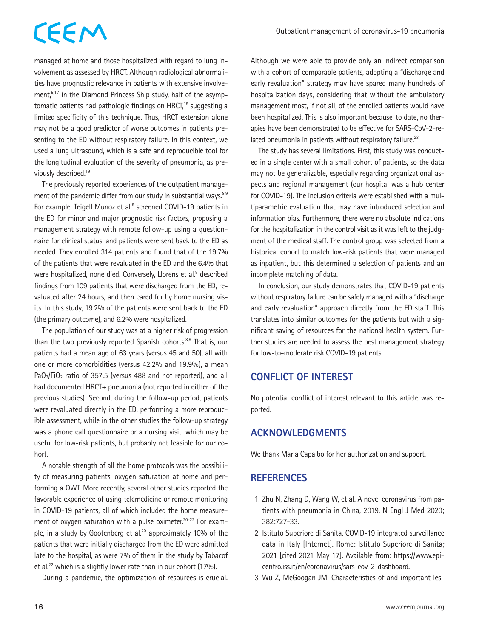## CEEM

managed at home and those hospitalized with regard to lung involvement as assessed by HRCT. Although radiological abnormalities have prognostic relevance in patients with extensive involvement,<sup>5,17</sup> in the Diamond Princess Ship study, half of the asymptomatic patients had pathologic findings on HRCT,<sup>18</sup> suggesting a limited specificity of this technique. Thus, HRCT extension alone may not be a good predictor of worse outcomes in patients presenting to the ED without respiratory failure. In this context, we used a lung ultrasound, which is a safe and reproducible tool for the longitudinal evaluation of the severity of pneumonia, as previously described.<sup>19</sup>

The previously reported experiences of the outpatient management of the pandemic differ from our study in substantial ways. $8,9$ For example, Teigell Munoz et al.<sup>8</sup> screened COVID-19 patients in the ED for minor and major prognostic risk factors, proposing a management strategy with remote follow-up using a questionnaire for clinical status, and patients were sent back to the ED as needed. They enrolled 314 patients and found that of the 19.7% of the patients that were revaluated in the ED and the 6.4% that were hospitalized, none died. Conversely, Llorens et al.<sup>9</sup> described findings from 109 patients that were discharged from the ED, revaluated after 24 hours, and then cared for by home nursing visits. In this study, 19.2% of the patients were sent back to the ED (the primary outcome), and 6.2% were hospitalized.

The population of our study was at a higher risk of progression than the two previously reported Spanish cohorts.<sup>8,9</sup> That is, our patients had a mean age of 63 years (versus 45 and 50), all with one or more comorbidities (versus 42.2% and 19.9%), a mean  $PaO<sub>2</sub>/FiO<sub>2</sub>$  ratio of 357.5 (versus 488 and not reported), and all had documented HRCT+ pneumonia (not reported in either of the previous studies). Second, during the follow-up period, patients were revaluated directly in the ED, performing a more reproducible assessment, while in the other studies the follow-up strategy was a phone call questionnaire or a nursing visit, which may be useful for low-risk patients, but probably not feasible for our cohort.

A notable strength of all the home protocols was the possibility of measuring patients' oxygen saturation at home and performing a QWT. More recently, several other studies reported the favorable experience of using telemedicine or remote monitoring in COVID-19 patients, all of which included the home measurement of oxygen saturation with a pulse oximeter.<sup>20-22</sup> For example, in a study by Gootenberg et al.<sup>20</sup> approximately 10% of the patients that were initially discharged from the ED were admitted late to the hospital, as were 7% of them in the study by Tabacof et al.<sup>22</sup> which is a slightly lower rate than in our cohort (17%).

During a pandemic, the optimization of resources is crucial.

Although we were able to provide only an indirect comparison with a cohort of comparable patients, adopting a "discharge and early revaluation" strategy may have spared many hundreds of hospitalization days, considering that without the ambulatory management most, if not all, of the enrolled patients would have been hospitalized. This is also important because, to date, no therapies have been demonstrated to be effective for SARS-CoV-2-related pneumonia in patients without respiratory failure.<sup>23</sup>

The study has several limitations. First, this study was conducted in a single center with a small cohort of patients, so the data may not be generalizable, especially regarding organizational aspects and regional management (our hospital was a hub center for COVID-19). The inclusion criteria were established with a multiparametric evaluation that may have introduced selection and information bias. Furthermore, there were no absolute indications for the hospitalization in the control visit as it was left to the judgment of the medical staff. The control group was selected from a historical cohort to match low-risk patients that were managed as inpatient, but this determined a selection of patients and an incomplete matching of data.

In conclusion, our study demonstrates that COVID-19 patients without respiratory failure can be safely managed with a "discharge and early revaluation" approach directly from the ED staff. This translates into similar outcomes for the patients but with a significant saving of resources for the national health system. Further studies are needed to assess the best management strategy for low-to-moderate risk COVID-19 patients.

#### **CONFLICT OF INTEREST**

No potential conflict of interest relevant to this article was reported.

#### **ACKNOWLEDGMENTS**

We thank Maria Capalbo for her authorization and support.

#### **REFERENCES**

- 1. Zhu N, Zhang D, Wang W, et al. A novel coronavirus from patients with pneumonia in China, 2019. N Engl J Med 2020; 382:727-33.
- 2. Istituto Superiore di Sanita. COVID-19 integrated surveillance data in Italy [Internet]. Rome: Istituto Superiore di Sanita; 2021 [cited 2021 May 17]. Available from: [https://www.epi](https://www.epicentro.iss.it/en/coronavirus/sars-cov-2-dashboard)[centro.iss.it/en/coronavirus/sars-cov-2-dashboard.](https://www.epicentro.iss.it/en/coronavirus/sars-cov-2-dashboard)
- 3. Wu Z, McGoogan JM. Characteristics of and important les-